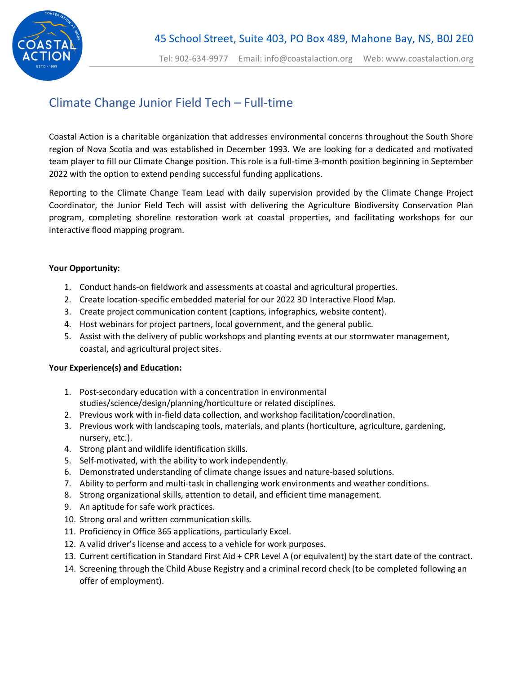

## Climate Change Junior Field Tech – Full-time

Coastal Action is a charitable organization that addresses environmental concerns throughout the South Shore region of Nova Scotia and was established in December 1993. We are looking for a dedicated and motivated team player to fill our Climate Change position. This role is a full-time 3-month position beginning in September 2022 with the option to extend pending successful funding applications.

Reporting to the Climate Change Team Lead with daily supervision provided by the Climate Change Project Coordinator, the Junior Field Tech will assist with delivering the Agriculture Biodiversity Conservation Plan program, completing shoreline restoration work at coastal properties, and facilitating workshops for our interactive flood mapping program.

## **Your Opportunity:**

- 1. Conduct hands-on fieldwork and assessments at coastal and agricultural properties.
- 2. Create location-specific embedded material for our 2022 3D Interactive Flood Map.
- 3. Create project communication content (captions, infographics, website content).
- 4. Host webinars for project partners, local government, and the general public.
- 5. Assist with the delivery of public workshops and planting events at our stormwater management, coastal, and agricultural project sites.

## **Your Experience(s) and Education:**

- 1. Post-secondary education with a concentration in environmental studies/science/design/planning/horticulture or related disciplines.
- 2. Previous work with in-field data collection, and workshop facilitation/coordination.
- 3. Previous work with landscaping tools, materials, and plants (horticulture, agriculture, gardening, nursery, etc.).
- 4. Strong plant and wildlife identification skills.
- 5. Self-motivated, with the ability to work independently.
- 6. Demonstrated understanding of climate change issues and nature-based solutions.
- 7. Ability to perform and multi-task in challenging work environments and weather conditions.
- 8. Strong organizational skills, attention to detail, and efficient time management.
- 9. An aptitude for safe work practices.
- 10. Strong oral and written communication skills.
- 11. Proficiency in Office 365 applications, particularly Excel.
- 12. A valid driver's license and access to a vehicle for work purposes.
- 13. Current certification in Standard First Aid + CPR Level A (or equivalent) by the start date of the contract.
- 14. Screening through the Child Abuse Registry and a criminal record check (to be completed following an offer of employment).